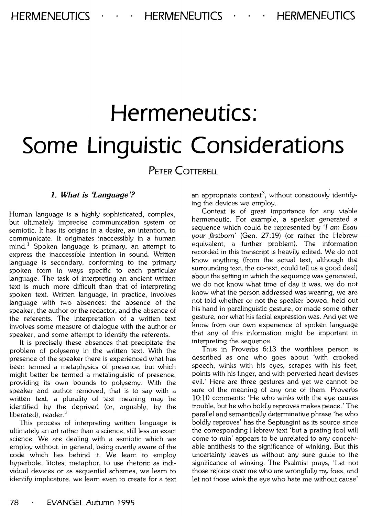# **Hermeneutics: Some Linguistic Considerations**

PETER COTTERELL

## *1. What is •Language '?*

Human language is a highly sophisticated, complex, but ultimately imprecise communication system or semiotic. It has its origins in a desire, an intention, to communicate. It originates inaccessibly in a human  $mind.$ <sup>1</sup> Spoken language is primary, an attempt to express the inaccessible intention in sound. Written language is secondary, conforming to the primary spoken form in ways specific to each particular language. The task of interpreting an ancient written text is much more difficult than that of interpreting spoken text. Written language, in practice, involves language with two absences: the absence of the speaker, the author or the redactor, and the absence of the referents. The interpretation of a written text involves some measure of dialogue with the author or speaker, and some attempt to identify the referents.

It is precisely these absences that precipitate the problem of polysemy in the written text. With the presence of the speaker there is experienced what has been termed a metaphysics of presence, but which might better be termed a metalinguistic of presence, providing its own bounds to polysemy. With the speaker and author removed, that is to say with a written text, a plurality of text meaning may be identified by the deprived (or, arguably, by the liberated), reader. $<sup>2</sup>$ </sup>

This process of interpreting written language is ultimately an art rather than a science, still less an exact science. We are dealing with a semiotic which we employ without, in general, being overtly aware of the code which lies behind it. We learn to employ hyperbole, litotes, metaphor, to use rhetoric as individual devices or as sequential schemes, we learn to identify implicature, we learn even to create for a text an appropriate context<sup>3</sup>, without consciously identifying the devices we employ.

Context is of great importance for any viable hermeneutic. For example, a speaker generated a sequence which could be represented by *'I am Esau your firstborn'* (Gen. 27:19) (or rather the Hebrew equivalent, a further problem). The information recorded in this transcript is heavily edited. We do not know anything (from the actual text, although the surrounding text, the co-text, could tell us a good deal) about the setting in which the sequence was generated, we do not know what time of day it was, we do not know what the person addressed was wearing, we are not told whether or not the speaker bowed, held out his hand in paralinguistic gesture, or made some other gesture, nor what his facial expression was. And yet we know from our own experience of spoken language that any of this information might be important in interpreting the sequence.

Thus in Proverbs 6:13 the worthless person is described as one who goes about 'with crooked speech, winks with his eyes, scrapes with his feet, points with his finger, and with perverted heart devises evil.' Here are three gestures and yet we cannot be sure of the meaning of any one of them. Proverbs 10:10 comments: 'He who winks with the eye causes trouble, but he who boldly reproves makes peace.' The parallel and semantically determinative phrase 'he who boldly reproves' has the Septuagint as its source since the corresponding Hebrew text 'but a prating fool will come to ruin' appears to be unrelated to any conceivable antithesis to the significance of winking. But this uncertainty leaves us without any sure guide to the significance of winking. The Psalmist prays, 'Let not those rejoice over me who are wrongfully my foes, and let not those wink the eye who hate me without cause'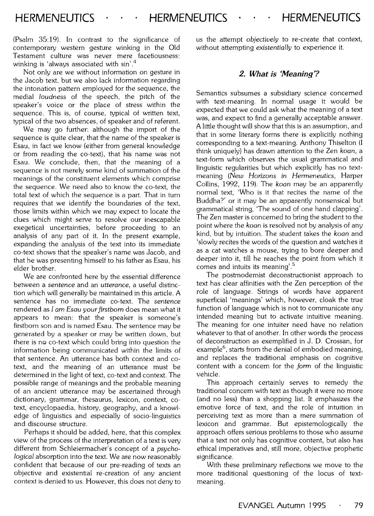(Psalm 35: 19). In contrast to the significance of contemporary western gesture winking in the Old Testament culture was never mere facetiousness: winking is 'always associated with  $\sin$ '.<sup>4</sup>

Not only are we without information on gesture in the Jacob text, but we also lack information regarding the intonation pattern employed for the sequence, the medial *loudness* of the speech, the pitch of the speaker's voice or the place of stress within the sequence. This is, of course, typical of written text, typical of the two absences, of speaker and of referent.

We may go further: although the import of the sequence is quite clear, that the name of the speaker is Esau, in fact we know (either from general knowledge or from reading the co-text), that his name was not Esau. We conclude, then, that the meaning of a sequence is not merely some kind of summation of the meanings of the constituent elements which comprise the sequence. We need also to know the co-text, the total text of which the sequence is a part. That in turn requires that we identify the boundaries of the text, those limits within which we may expect to locate the clues which might serve to resolve our inescapable exegetical uncertainties, before proceeding to an analysis of any part of it. In the present example, expanding the analysis of the text into its immediate co-text shows that the speaker's name was Jacob, and that he was presenting himself to his father as Esau, his elder brother.

We are confronted here by the essential difference between a *sentence* and an *utterance,* a useful distinction which will generally be maintained in this article. A sentence has no immediate co-text. The *sentence*  rendered as *I am Esau* your *firstborn* does mean what it appears to mean: that the speaker is someone's firstborn son and is named Esau. The sentence may be generated by a speaker or may be written down, but there is no co-text which could bring into question the information being communicated within the limits of that sentence. An utterance has both context and cotext, and the meaning of an utterance must be determined in the light of text, co-text and context. The possible range of meanings and the probable meaning of an ancient utterance may be ascertained through dictionary, grammar, thesaurus, lexicon, context, cotext, encyclopaedia, history, geography, and a knowledge of linguistics and especially of socio-linguistics and discourse structure.

Perhaps it should be added, here, that this complex view of the process of the interpretation of a text is very different from Schleiermacher's concept of a *psychological* absorption into the text. We are now reasonably confident that because of our pre-reading of texts an objective and existential re-creation of any ancient context is denied to us. However, this does not deny to

us the attempt *objectively* to re-create that context, without attempting *existentially* to experience it.

## *2. What is 'Meaning'?*

Semantics subsumes a subsidiary science concerned with text-meaning. In normal usage it would be expected that we could ask what the meaning of a text was, and expect to find a generally acceptable answer. A little thought will show that this is an assumption, and that in some literary forms there is explicitly nothing corresponding to a text-meaning. Anthony Thiselton (I think uniquely) has drawn attention to the Zen *koan,* a text-form which observes the usual grammatical and linguistic regularities but which explicitly has no textmeaning (New *Horizons* in *Hermeneutics,* Harper Collins, 1992, 119). The *koan* may be an apparently normal text, 'Who is it that recites the name of the Buddha?' or it may be an apparently nonsensical but grammatical string, 'The sound of one hand clapping'. The Zen master is concerned to bring the student to the point where the *koan* is resolved not by analysis of any kind, but by intuition. The student takes the *koan* and 'slowly recites the words of the question and watches it as a cat watches a mouse, trying to bore deeper and deeper into it, till he reaches the point from which it comes and intuits its meaning'.<sup>5</sup>

The postmodernist deconstructionist approach to text has clear affinities with the Zen perception of the role of language. Strings of words have apparent superficial 'meanings' which, however, cloak the true function of language which is not to communicate any intended meaning but to activate intuitive meaning. The meaning for one intuiter need have no relation whatever to that of another. In other words the process of deconstruction as exemplified in J. D. Crossan, for example<sup>6</sup>, starts from the denial of embodied meaning, and replaces the traditional emphasis on cognitive content with a concern for the *form* of the linguistic vehicle.

This approach certainly serves to remedy the traditional concern with text as though it were no more (and no less) than a shopping list. It emphasizes the emotive force of text, and the role of intuition in perceiving text as more than a mere summation of lexicon and grammar. But epistemologically the approach offers serious problems to those who assume that a text not only has cognitive content, but also has ethical imperatives and, still more, objective prophetic significance.

With these preliminary reflections we move to the more traditional questioning of the locus of textmeaning.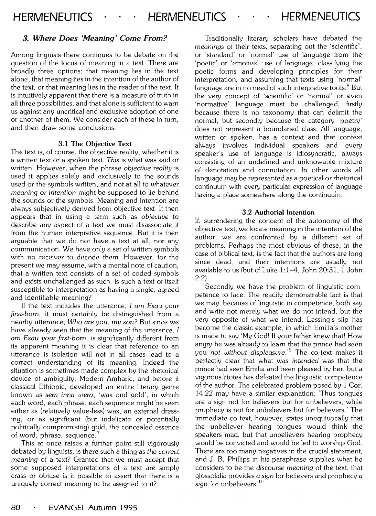## *3. Where Does 'Meaning• Come From?*

Among linguists there continues to be debate on the question of the locus of meaning in a text. There are broadly three options: that meaning lies in the text alone, that meaning lies in the intention of the author of the text, or that meaning lies in the reader of the text. It is intuitively apparent that there is a measure of truth in all three possibilities, and that alone is sufficient to warn us against any uncritical and exclusive adoption of one or another of them. We consider each of these in turn, and then draw some conclusions.

#### 3.1 The Objective Text

The text is, of course, the objective reality, whether it is a written text or a spoken text. *This* is what was said or written. However, when the phrase *objective reality* is used it applies solely and exclusively to the sounds used or the symbols written, and not at all to whatever *meaning or intention* might be supposed to lie behind the sounds or the symbols. Meaning and intention are always subjectively derived from objective text. It then appears that in using a term such as *objective* to describe any aspect of a text we must disassociate it from the human interpretive sequence. But it is then arguable that we do not have a text at all, nor any communication. We have only a set of written symbols with no receiver to decode them. However, for the present we may assume, with a mental note of caution, that a written text consists of a set of coded symbols and exists unchallenged as such. Is such a text of itself susceptible to interpretation as having a single, agreed and identifiable meaning?

If the text includes the utterance, *I am Esau your first-bam,* it must certainly be distinguished from a nearby utterance, *Who are you, my son?* But since we have already seen that the meaning of the utterance, I *am Esau your first-bam,* is significantly different from its apparent meaning it is clear that reference to an utterance is isolation will not in all cases lead to a correct understanding of its meaning. Indeed the situation is sometimes made complex by the rhetorical device of ambiguity. Modern Amharic, and before it classical Ethiopic, developed an entire literary genre known as sem *inna werq,* 'wax and gold', in which each word, each phrase, each sequence might be seen either as (relatively value-less) wax, an external dressing, or as significant (but indelicate or potentially politically compromising) gold, the concealed essence of word, phrase, sequence. <sup>7</sup>

This at once raises a further point still vigorously debated by linguists: is there such a thing as *the correct meaning* of a text? Granted that we must accept that some supposed interpretations of a text are simply crass or obtuse is it possible to assert that there is a uniquely correct meaning to be assigned to it?

Traditionally literary scholars have debated the *meanings* of their texts, separating out the 'scientific', or 'standard' or 'normal' use of language from the 'poetic' or 'emotive' use of language, classifying the poetic forms and developing principles for their interpretation, and assuming that texts using 'normal' language are in no need of such interpretive tools.<sup>8</sup> But the very concept of 'scientific' or 'normal' or even 'normative' language must be challenged, firstly because there is no taxonomy that can delimit the normal, but secondly because the category 'poetry' does not represent a boundaried class. All language, written or spoken, has a context and that context always involves individual speakers and every speaker's use of language is idiosyncratic, always consisting of an undefined and unknowable mixture of denotation and connotation. In other words all language may be represented as a poetical or rhetorical continuum with every particular expression of language having a place somewhere along the continuum.

#### 3.2 Authorial Intention

If, surrendering the concept of the autonomy of the objective text, we locate meaning in the intention of the author, we are confronted by a different set of problems. Perhaps the most obvious of these, in the case of biblical text, is the fact that the authors are long since dead, and their intentions are usually not available to us (but cf Luke 1:1-4, John 20:31, 1 John 2:2).

Secondly we have the problem of linguistic competence to face. The readily demonstrable fact is that we may, because of linguistic in competence, both say and write not merely what we do not intend, but the very opposite of what we intend. Lessing's slip has become the classic example, in which Emilia's mother is made to say 'My God! If your father knew that! How angry he was already to learn that the prince had seen you *not without displeasure.* ' 9 The co-text makes it perfectly clear that what was *intended* was that the prince had seen Emilia and been pleased by her, but a vigorous litotes has defeated the linguistic competence of the author. The celebrated problem posed by 1 Cor. 14:22 may have a similar explanation: 'Thus tongues are a sign not for believers but for unbelievers, while prophecy is not for unbelievers but for believers.' The immediate co-text, however, states unequivocally that the unbeliever hearing tongues would think the speakers mad, but that unbelievers hearing prophecy would be convicted and would be led to worship God. There are too many negatives in the crucial statement, and J. B. Phillips in his paraphrase supplies what he considers to be the *discourse meaning* of the text, that glossolalia provides *a sign* for believers and prophecy *a sign* for unbelievers. <sup>10</sup>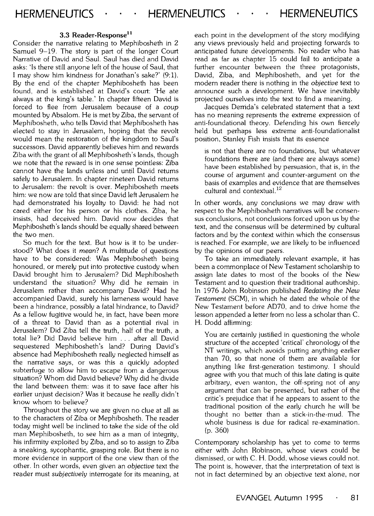#### **3.3 Reader-Response<sup>11</sup>**

Consider the narrative relating to Mephibosheth in 2 Samuel 9-19. The story is part of the longer Court Narrative of David and Saul. Saul has died and David asks: 'Is there still anyone left of the house of Saul, that I may show him kindness for Jonathan's sake?' (9:1). By the end of the chapter Mephibosheth has been found, and is established at David's court: 'He ate always at the king's table.' In chapter fifteen David is forced to flee from Jerusalem because of a *coup*  mounted by Absalom. He is met by Ziba, the servant of Mephibosheth, who tells David that Mephibosheth has elected to stay in Jerusalem, hoping that the revolt would mean the restoration of the kingdom to Saul's successors. David apparently believes him and rewards Ziba with the grant of all Mephibosheth's lands, though we note that the reward is in one sense pointless: Ziba cannot have the lands unless and until David returns safely to Jerusalem. In chapter nineteen David returns to Jerusalem: the revolt is over. Mephibosheth meets him: we now are told that since David left Jerusalem he had demonstrated his loyalty to David: he had not cared either for his person or his clothes. Ziba, he insists, had deceived him. David now decides that Mephibosheth's lands should be equally shared between the two men.

So much for the text. But how is it to be understood? What does it mean? A multitude of questions have to be considered: Was Mephibosheth being honoured, or merely put into protective custody when David brought him to Jerusalem? Did Mephibosheth understand the situation? Why did he remain in Jerusalem rather than accompany David? Had he accompanied David, surely his lameness would have been a hindrance, possibly a fatal hindrance, to David? As a fellow fugitive would he, in fact, have been more of a threat to David than as a potential rival in Jerusalem? Did Ziba tell the truth, half of the truth, a total lie? Did David believe him ... after all David sequestered Mephibosheth's land? During David's absence had Mephibosheth really neglected himself as the narrative says, or was this a quickly adopted subterfuge to allow him to escape from a dangerous situation? Whom did David believe? Why did he divide the land between them: was it to save face after his earlier unjust decision? Was it because he really didn't know whom to believe?

Throughout the story we are given no clue at all as to the characters of Ziba or Mephibosheth. The reader today might well be inclined to take the side of the old man Mephibosheth, to see him as a man of integrity, his infirmity exploited by Ziba, and so to assign to Ziba a sneaking, sycophantic, grasping role. But there is no more evidence in support of the one view than of the other. In other words, even given an *objective* text the reader must *subjectively* interrogate for its meaning, at each point in the development of the story modifying any views previously held and projecting forwards to anticipated future developments. No reader who has read as far as chapter 15 could fail to anticipate a further encounter between the three protagonists, David, Ziba, and Mephibosheth, and yet for the modern reader there is nothing in the *objective* text to announce such a development. We have inevitably projected ourselves into the text to find a meaning.

Jacques Derrida's celebrated statement that a text has no meaning represents the extreme expression of anti-foundational theory. Defending his own fiercely held but perhaps less extreme anti-foundationalist position, Stanley Fish insists that its essence

is not that there are no foundations, but whatever foundations there are (and there are always some) have been established by persuasion, that is, in the course of argument and counter-argument on the basis of examples and evidence that are themselves cultural and contextual. $^{12}$ 

In other words, any conclusions we may draw with respect to the Mephibosheth narratives will be consensus conclusions, not conclusions forced upon us by the text, and the consensus will be determined by cultural factors and by the context within which the consensus is reached. For example, we are likely to be influenced by the opinions of our peers.

To take an immediately relevant example, it has been a commonplace of New Testament scholarship to assign late dates to most of the books of the New Testament and to question their traditional authorship. In 1976 John Robinson published *Redating the New Testament* (SCM), in which he dated the whole of the New Testament before AD70, and to drive home the lesson appended a letter from no less a scholar than C. **H.** Dodd affirming:

You are certainly justified in questioning the whole structure of the accepted 'critical' chronology of the NT writings, which avoids putting anything earlier than 70, so that none of them are available for anything like first-generation testimony. I should agree with you that much of this late dating is quite arbitrary, even wanton, the off-spring not of any argument that can be presented, but rather of the critic's prejudice that if he appears to assent to the traditional position of the early church he will be thought no better than a stick-in-the-mud. The whole business is due for radical re-examination. (p. 360)

Contemporary scholarship has yet to come to terms either with John Robinson, whose views could be dismissed, or with C. H. Dodd, whose views could not. The point is, however, that the interpretation of text is not in fact determined by an objective text alone, nor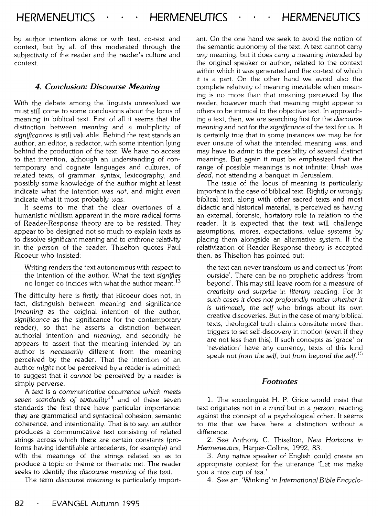by author intention alone or with text, co-text and context, but by all of this moderated through the subjectivity of the reader and the reader's culture and context.

### *4. Conclusion: Discourse Meaning*

With the debate among the linguists unresolved we must still come to some conclusions about the locus of meaning in biblical text. First of all it seems that the distinction between *meaning* and a multiplicity of *significances* is still valuable. Behind the text stands an author, an editor, a redactor, with some intention lying behind the production of the text. We have no access to that intention, although an understanding of contemporary and cognate languages and cultures, of related texts, of grammar, syntax, lexicography, and possibly some knowledge of the author might at least indicate what the intention was *not,* and might even indicate what it most probably *was.* 

It seems to me that the clear overtones of a humanistic nihilism apparent in the more radical forms of Reader-Response theory are to be resisted. They appear to be designed not so much to explain texts as to dissolve significant meaning and to enthrone relativity in the person of the reader. Thiselton quotes Paul Ricoeur who insisted:

Writing renders the text autonomous with respect to the intention of the author. What the text *signifies*  no longer co-incides with what the author meant.  $13$ 

The difficulty here is firstly that Ricoeur does not, in fact, distinguish between meaning and significance *(meaning* as the original intention of the author, *significance* as the significance for the contemporary reader), so that he asserts a distinction between authorial intention and *meaning,* and secondly he appears to assert that the meaning intended by an author is *necessarily* different from the meaning perceived by the reader. That the intention of an author *might* not be perceived by a reader is admitted; to suggest that it *cannot* be perceived by a reader is simply perverse.

A *text* is *a communicative occurrence which meets*  seven standards of textuality<sup>14</sup> and of these seven standards the first three have particular importance: they are grammatical and syntactical cohesion, semantic coherence, and intentionality. That is to say, an author produces a communicative text consisting of related strings across which there are certain constants (proforms having identifiable antecedents, for example) and with the meanings of the strings related so as to produce a topic or theme or thematic net. The reader seeks to identify the discourse *meaning* of the text.

The term discourse *meaning* is particularly import-

ant. On the one hand we seek to avoid the notion of the semantic autonomy of the text. A text cannot carry *any* meaning, but it does carry a meaning *intended* by the original speaker or author, related to the context within which it was generated and the co-text of which it is a part. On the other hand we avoid also the complete relativity of meaning inevitable when meaning is no more than that meaning perceived by the reader, however much that meaning might appear to others to be inimical to the objective text. In approaching a text, then, we are searching first for the *discourse meaning* and not for the *significance* of the text for us. It is certainly true that in some instances we may be for ever unsure of what the intended meaning was, and may have to admit to the possibility of several distinct meanings. But again it must be emphasized that the range of possible meanings is not infinite: Uriah was *dead,* not attending a banquet in Jerusalem.

The issue of the locus of meaning is particularly important in the case of biblical text. Rightly or wrongly biblical text, along with other sacred texts and most didactic and historical material, is perceived as having an external, forensic, hortatory role in relation to the reader. It is expected that the text will challenge assumptions, mores, expectations, value systems by placing them alongside an alternative system. If the relativization of Reader Response theory is accepted then, as Thiselton has pointed out:

the text can never transform us and correct us *'from outside'.* There can be no prophetic address 'from beyond'. This may still leave room for a measure of *creativity and* surprise in *literary* reading. For *in such cases it does not profoundly matter whether it*  is *ultimately the self* who brings about its own creative discoveries. But in the case of many biblical texts, theological truth claims constitute more than triggers to set self-discovery in motion (even if they are not less than this). If such concepts as 'grace' or 'revelation' have any currency, texts of this kind speak *not from the self,* but *from beyond the self.* <sup>15</sup>

#### *Footnotes*

**1.** The sociolinguist **H.** P. Grice would insist that text originates not in a *mind* but in a *person,* reacting against the concept of a psychological other. It seems to me that we have here a distinction without a difference.

2. See Anthony C. Thiselton, *New* Horizons *in Hermeneutics,* Harper-Collins, 1992, 83.

3. Any native speaker of English could create an appropriate context for the utterance 'Let me make you a nice cup of tea.'

4. See art. 'Winking' in *International Bible Encyclo-*